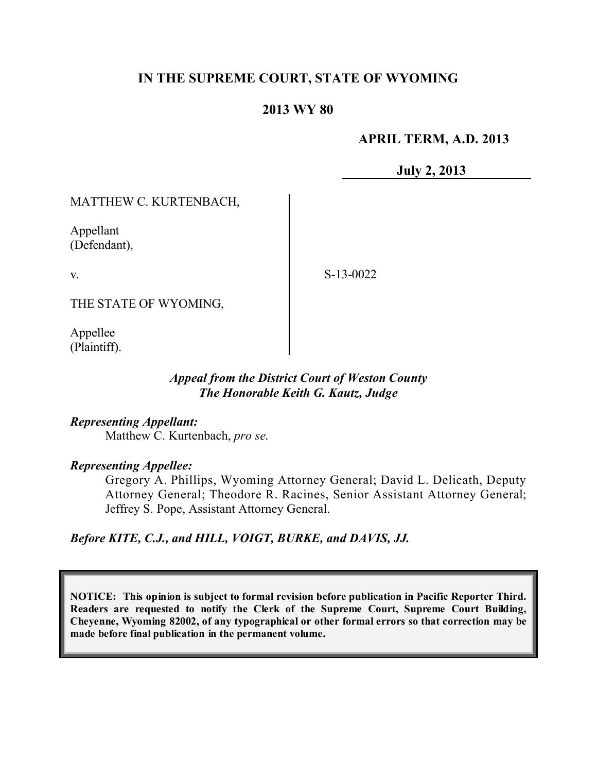# **IN THE SUPREME COURT, STATE OF WYOMING**

# **2013 WY 80**

# **APRIL TERM, A.D. 2013**

**July 2, 2013**

MATTHEW C. KURTENBACH,

Appellant (Defendant),

v.

S-13-0022

THE STATE OF WYOMING,

Appellee (Plaintiff).

## *Appeal from the District Court of Weston County The Honorable Keith G. Kautz, Judge*

# *Representing Appellant:*

Matthew C. Kurtenbach, *pro se*.

## *Representing Appellee:*

Gregory A. Phillips, Wyoming Attorney General; David L. Delicath, Deputy Attorney General; Theodore R. Racines, Senior Assistant Attorney General; Jeffrey S. Pope, Assistant Attorney General.

*Before KITE, C.J., and HILL, VOIGT, BURKE, and DAVIS, JJ.*

**NOTICE: This opinion is subject to formal revision before publication in Pacific Reporter Third. Readers are requested to notify the Clerk of the Supreme Court, Supreme Court Building, Cheyenne, Wyoming 82002, of any typographical or other formal errors so that correction may be made before final publication in the permanent volume.**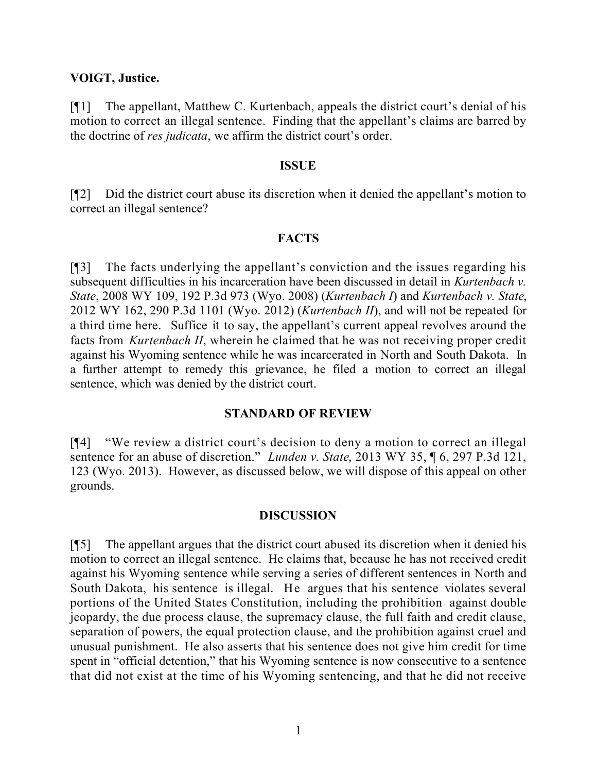#### **VOIGT, Justice.**

[¶1] The appellant, Matthew C. Kurtenbach, appeals the district court's denial of his motion to correct an illegal sentence. Finding that the appellant's claims are barred by the doctrine of *res judicata*, we affirm the district court's order.

#### **ISSUE**

[¶2] Did the district court abuse its discretion when it denied the appellant's motion to correct an illegal sentence?

## **FACTS**

[¶3] The facts underlying the appellant's conviction and the issues regarding his subsequent difficulties in his incarceration have been discussed in detail in *Kurtenbach v. State*, 2008 WY 109, 192 P.3d 973 (Wyo. 2008) (*Kurtenbach I*) and *Kurtenbach v. State*, 2012 WY 162, 290 P.3d 1101 (Wyo. 2012) (*Kurtenbach II*), and will not be repeated for a third time here. Suffice it to say, the appellant's current appeal revolves around the facts from *Kurtenbach II*, wherein he claimed that he was not receiving proper credit against his Wyoming sentence while he was incarcerated in North and South Dakota. In a further attempt to remedy this grievance, he filed a motion to correct an illegal sentence, which was denied by the district court.

## **STANDARD OF REVIEW**

[¶4] "We review a district court's decision to deny a motion to correct an illegal sentence for an abuse of discretion." *Lunden v. State*, 2013 WY 35, ¶ 6, 297 P.3d 121, 123 (Wyo. 2013). However, as discussed below, we will dispose of this appeal on other grounds.

## **DISCUSSION**

[¶5] The appellant argues that the district court abused its discretion when it denied his motion to correct an illegal sentence. He claims that, because he has not received credit against his Wyoming sentence while serving a series of different sentences in North and South Dakota, his sentence is illegal. He argues that his sentence violates several portions of the United States Constitution, including the prohibition against double jeopardy, the due process clause, the supremacy clause, the full faith and credit clause, separation of powers, the equal protection clause, and the prohibition against cruel and unusual punishment. He also asserts that his sentence does not give him credit for time spent in "official detention," that his Wyoming sentence is now consecutive to a sentence that did not exist at the time of his Wyoming sentencing, and that he did not receive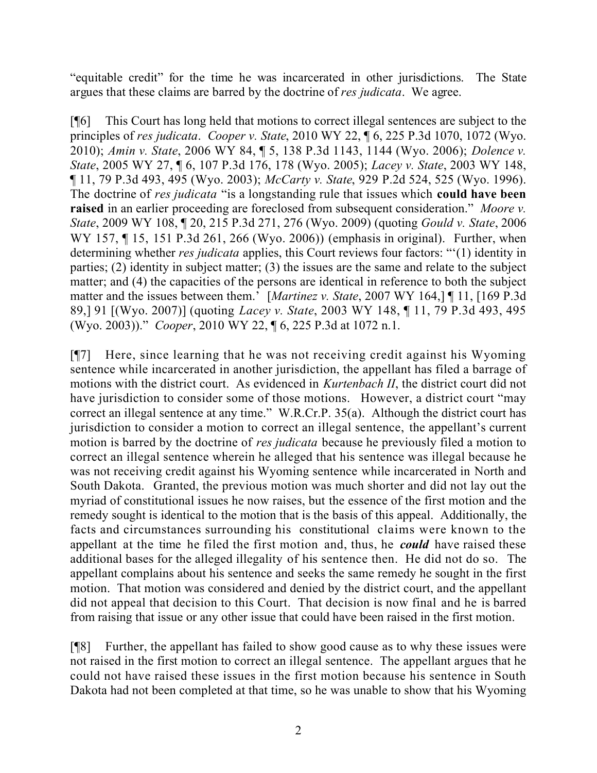"equitable credit" for the time he was incarcerated in other jurisdictions. The State argues that these claims are barred by the doctrine of *res judicata*. We agree.

[¶6] This Court has long held that motions to correct illegal sentences are subject to the principles of *res judicata*. *Cooper v. State*, 2010 WY 22, ¶ 6, 225 P.3d 1070, 1072 (Wyo. 2010); *Amin v. State*, 2006 WY 84, ¶ 5, 138 P.3d 1143, 1144 (Wyo. 2006); *Dolence v. State*, 2005 WY 27, ¶ 6, 107 P.3d 176, 178 (Wyo. 2005); *Lacey v. State*, 2003 WY 148, ¶ 11, 79 P.3d 493, 495 (Wyo. 2003); *McCarty v. State*, 929 P.2d 524, 525 (Wyo. 1996). The doctrine of *res judicata* "is a longstanding rule that issues which **could have been raised** in an earlier proceeding are foreclosed from subsequent consideration." *Moore v. State*, 2009 WY 108, ¶ 20, 215 P.3d 271, 276 (Wyo. 2009) (quoting *Gould v. State*, 2006 WY 157, ¶ 15, 151 P.3d 261, 266 (Wyo. 2006)) (emphasis in original). Further, when determining whether *res judicata* applies, this Court reviews four factors: "'(1) identity in parties; (2) identity in subject matter; (3) the issues are the same and relate to the subject matter; and (4) the capacities of the persons are identical in reference to both the subject matter and the issues between them.' [*Martinez v. State*, 2007 WY 164,] ¶ 11, [169 P.3d 89,] 91 [(Wyo. 2007)] (quoting *Lacey v. State*, 2003 WY 148, ¶ 11, 79 P.3d 493, 495 (Wyo. 2003))." *Cooper*, 2010 WY 22, ¶ 6, 225 P.3d at 1072 n.1.

[¶7] Here, since learning that he was not receiving credit against his Wyoming sentence while incarcerated in another jurisdiction, the appellant has filed a barrage of motions with the district court. As evidenced in *Kurtenbach II*, the district court did not have jurisdiction to consider some of those motions. However, a district court "may correct an illegal sentence at any time." W.R.Cr.P. 35(a). Although the district court has jurisdiction to consider a motion to correct an illegal sentence, the appellant's current motion is barred by the doctrine of *res judicata* because he previously filed a motion to correct an illegal sentence wherein he alleged that his sentence was illegal because he was not receiving credit against his Wyoming sentence while incarcerated in North and South Dakota. Granted, the previous motion was much shorter and did not lay out the myriad of constitutional issues he now raises, but the essence of the first motion and the remedy sought is identical to the motion that is the basis of this appeal. Additionally, the facts and circumstances surrounding his constitutional claims were known to the appellant at the time he filed the first motion and, thus, he *could* have raised these additional bases for the alleged illegality of his sentence then. He did not do so. The appellant complains about his sentence and seeks the same remedy he sought in the first motion. That motion was considered and denied by the district court, and the appellant did not appeal that decision to this Court. That decision is now final and he is barred from raising that issue or any other issue that could have been raised in the first motion.

[¶8] Further, the appellant has failed to show good cause as to why these issues were not raised in the first motion to correct an illegal sentence. The appellant argues that he could not have raised these issues in the first motion because his sentence in South Dakota had not been completed at that time, so he was unable to show that his Wyoming